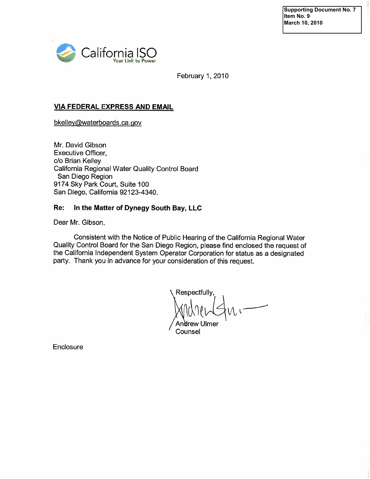**Supporting Document No. 7 Item No. 9 March 10, 2010** 



February 1, 2010

#### VIA FEDERAL EXPRESS AND EMAIL

bkelley@waterboards.ca.gov

Mr. David Gibson Executive Officer, c/o Brian Kelley California Regional Water Quality Control Board San Diego Region 9174 Sky Park Court, Suite 100 San Diego, California 92123-4340.

#### Re: In the Matter of Dynegy South Bay, LLC

Dear Mr. Gibson,

Consistent with the Notice of Public Hearing of the California Regional Water Quality Control Board for the San Diego Region, please find enclosed the request of the California Independent System Operator Corporation for status as a designated party. Thank you in advance for your consideration of this request.

Respectfully,  $M\mu$ l $\leftarrow$ Andrew Ulmer

Counsel

**Enclosure**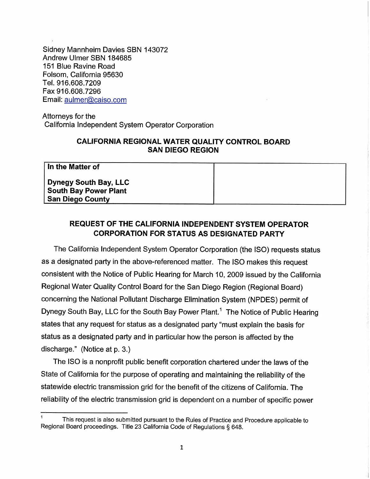Sidney Mannheim Davies SBN 143072 Andrew Ulmer SBN 184685 151 Blue Ravine Road Folsom, California 95630 TeL. 916.608.7209 Fax 916.608.7296 Email: aulmer@caiso.com

Attorneys for the California Independent System Operator Corporation

### CALIFORNIA REGIONAL WATER QUALITY CONTROL BOARD SAN DIEGO REGION

In the Matter of Dynegy South Bay, LLC South Bay Power Plant San Diego County

# REQUEST OF THE CALIFORNIA INDEPENDENT SYSTEM OPERATOR CORPORATION FOR STATUS AS DESIGNATED PARTY

The California Independent System Operator Corporation (the ISO) requests status as a designated party in the above-referenced matter. The ISO makes this request consistent with the Notice of Public Hearing for March 10, 2009 issued by the California Regional Water Quality Control Board for the San Diego Region (Regional Board) concerning the National Pollutant Discharge Elimination System (NPDES) permit of Dynegy South Bay, LLC for the South Bay Power Plant.<sup>1</sup> The Notice of Public Hearing states that any request for status as a designated party "must explain the basis for status as a designated party and in particular how the person is affected by the discharge." (Notice at p. 3.)

The ISO is a nonprofit public benefit corporation chartered under the laws of the State of California for the purpose of operating and maintaining the reliability of the statewide electric transmission grid for the benefit of the citizens of California. The reliability of the electric transmission grid is dependent on a number of specific power

This request is also submitted pursuant to the Rules of Practice and Procedure applicable to Regional Board proceedings. Title 23 California Code of Regulations § 648.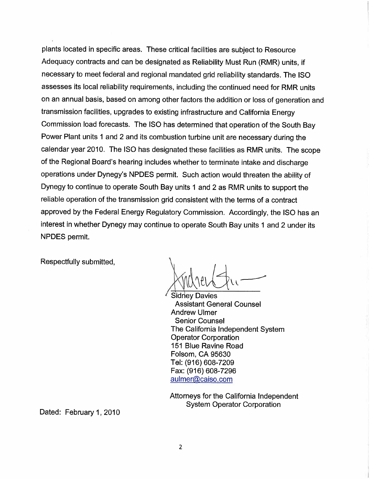plants located in specific areas. These critical facilities are subject to Resource Adequacy contracts and can be designated as Reliability Must Run (RMR) units, if necessary to meet federal and regional mandated grid reliability standards. The ISO assesses its local reliability requirements, including the continued need for RMR units on an annual basis, based on among other factors the addition or loss of generation and transmission facilities, upgrades to existing infrastructure and California Energy Commission load forecasts. The iSO has determined that operation of the South Bay Power Plant units 1 and 2 and its combustion turbine unit are necessary during the calendar year 2010. The ISO has designated these facilities as RMR units. The scope of the Regional Board's hearing includes whether to terminate intake and discharge operations under Dynegy's NPDES permit. Such action would threaten the ability of Dynegy to continue to operate South Bay units 1 and 2 as RMR units to support the reliable operation of the transmission grid consistent with the terms of a contract approved by the Federal Energy Regulatory Commission. Accordingly, the ISO has an interest in whether Dynegy may continue to operate South Bay units 1 and 2 under its NPDES permit.

Respectfully submitted,

 $\cup$   $\setminus$   $\cup$   $\vee$   $\setminus$ 

Sidney Davies Assistant General Counsel Andrew Ulmer Senior Counsel The California Independent System Operator Corporation 151 Blue Ravine Road Folsom, CA 95630 Tel: (916) 608-7209 Fax: (916) 608-7296 aulmer@caiso.com

Attorneys for the California Independent System Operator Corporation

Dated: February 1, 2010